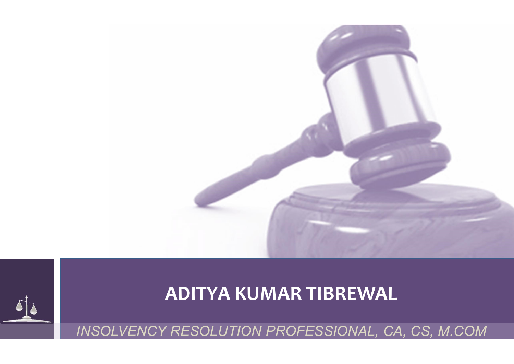

# ADITYA KUMAR TIBREWAL

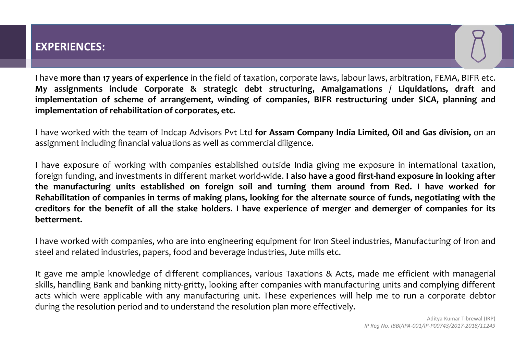## EXPERIENCES:

EXPERIENCES:<br>I have more than 17 years of experience in the field of taxation, corporate laws, labour laws, arbitration, FEMA, BIFR etc.<br>My assignments include Corporate & strategic debt structuring, Amalgamations / Liquid EXPERIENCES:<br>
I have more than 17 years of experience in the field of taxation, corporate laws, labour laws, arbitration, FEMA, BIFR etc.<br>
My assignments include Corporate & strategic debt structuring, Amalgamations / Liqu EXPERIENCES:<br>
I have more than 17 years of experience in the field of taxation, corporate laws, labour laws, arbitration, FEMA, BIFR etc.<br>
My assignments include Corporate & strategic debt structuring, Amalgamations / Liqu **EXPERIENCES:**<br>I have more than 17 years of experience in the field of taxation, corporate laws, labour laws, arbitration<br>My assignments include Corporate & strategic debt structuring, Amalgamations / Liquid<br>implementation EXPERIENCES:<br>
I have more than 17 years of experience in the field of taxation, corporate laws, labour laws, arbitration, FEMA, BIFR etc.<br>
My assignments include Corporate & strategic debt structuring, Amalgamations / Liqu EXPERIENCES:<br>
I have more than 17 years of experience in the field of taxation, corporate laws, labour laws, arbitration, FEMA, BIFF<br>
My assignments include Corporate & strategic debt structuring, Amalgamations / Liquidati

re in looking after<br>
nave worked for<br>
gotiating with the<br>
companies for its<br>
turing of Iron and<br>
t with managerial<br>
t with managerial<br>
omplying different<br>
corporate debtor<br>
Aditya Kumar Tibrewal (IRP)<br>
Aditya Kumar Tibrewa rst-hand exposure in looking after<br>
I from Red. I have worked for<br>
rce of funds, negotiating with the<br>
d demerger of companies for its<br>
ustries, Manufacturing of Iron and<br>
ade me efficient with managerial<br>
ring units and c EXPERIENCES:<br>
I have more than 17 years of experience in the field of taxation, corporate laws, labour laws, arbitration, FEMA, BIFR etc.<br>
My assignments include Corporate & strategic debt structuring, Amalgamations / Liqu EXPERIENCES:<br>
I have more than 17 years of experience in the field of taxation, corporate laws, labour laws, arbitration, FEMA, BIFR etc.<br>
My assignments include Corporate & strategic debt structuring, Amalgamations / Liqu EXPERIENCES:<br>
I have more than 17 years of experience in the field of taxation, corporate laws, labour laws, arbitration, FEMA, BIFR etc.<br>
My assignments include Corporate & strategic debt structuring, Amalgamations / Liqu EXPERIENCES:<br>
I have more than 17 years of experience in the field of taxation, corporate laws, labour laws, arbitration, FEMA, BIFR etc.<br>
My assignments include Corporate & strategic debt structuring, Amalgamations / Liqu I have more than 17 years of experience in the field of taxation, corporate laws, labour laws, arbitration, FEMA, BIFR etc.<br>My assignments include Corporate & strategic debt structuring, Amalgamations / Liquidations, draft betterment. My assignments michled compares a strategic dent structuring, Almalgamations / Liquidations, trart and<br>implementation of scheme of arrangement, winding of companies, BIFR restructuring under SICA, planning and<br>implementati implementation or scineme or arrangement, winding or companies, birk restructuring under sick, planting and<br>implementation of rehabilitation of corporates, etc.<br>
I have worked with the team of Indcap Advisors Pvt Ltd for A It have worked with the team of Indcap Advisors Pvt Ltd **for Assam Company India Limited, Oil and Gas division,** on an assignment including financial valuations as well as commercial diligence.<br>
It have exposure of working Flave worked with the team of intotaly Australians as well as commercial diligence.<br>
I have exposure of working with companies established outside India giving me exposure in international taxation, foreign funding, and in assignment including inflancial valuations as well as commercial dingelice.<br>
I have exposure of working with companies established outside India giving me exposure in international taxation,<br>
foreign funding, and investmen It have exposure of working with companies established outside India giving me exposure in international taxation, foreign funding, and investments in different market world-wide. **I also have a good first-hand exposure in**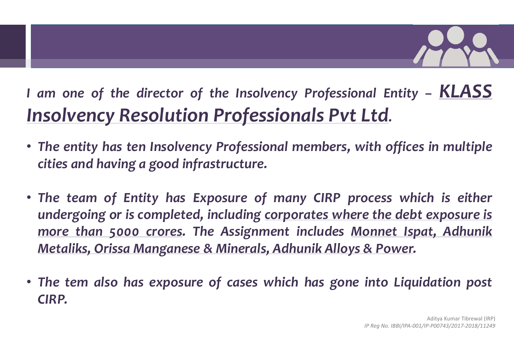

I am one of the director of the Insolvency Professional Entity - KLASS<br>Insolvency Resolution Professionals Pvt Ltd. I am one of the director of the Insolvency Professional Entity - KLASS<br>Insolvency Resolution Professionals Pvt Ltd.<br>• The entity has ten Insolvency Professional members, with offices in multiple<br>cities and having a good in am one of the director of the Insolvency Professional<br> **SOIVENCY Resolution Professionals Pvt Ltd**<br>
The entity has ten Insolvency Professional members, with<br>
cities and having a good infrastructure.<br>
The team of Entity has

- 
- Frame of the director of the Insolvency Professional Entity KLASS<br>
Insolvency Resolution Professionals Pvt Ltd.<br>
 The entity has ten Insolvency Professional members, with offices in multiple<br>
 The team of Entity has Ex am one of the director of the Insolvency Professional Entity – KLASS<br> **ISOIVENCY ReSolution Professionals Pvt Ltd.**<br>
The entity has ten Insolvency Professional members, with offices in multiple<br>
cities and having a good in am one of the director of the Insolvency Professional Entity – KLASS<br> **ISOIVENCY ReSolution Professionals Pvt Ltd.**<br>
The entity has ten Insolvency Professional members, with offices in multiple<br>
cities and having a good in Metaliks, Oris and Manganese & Mineralis, Original and Manganese and having a good infrastructure.<br>The entity has ten Insolvency Professional members, with offices in multiple<br>cities and having a good infrastructure.<br>The t • The entity has ten Insolvency Professional members, with offices in multiple cities and having a good infrastructure.<br>• The team of Entity has Exposure of many CIRP process which is either undergoing or is completed, in **h is either<br>Exposure is<br>It, Adhunik<br>Aditya Kumar Tibrewal (IRP)<br>Aditya Kumar Tibrewal (IRP) OCESS which is either<br>Ethe debt exposure is<br>Se Power.<br>Into Liquidation post<br>IP Reg No. IBBI/IPA-001/IP-P00743/2017-2018/11249<br>IP Reg No. IBBI/IPA-001/IP-P00743/2017-2018/11249**
- CIRP.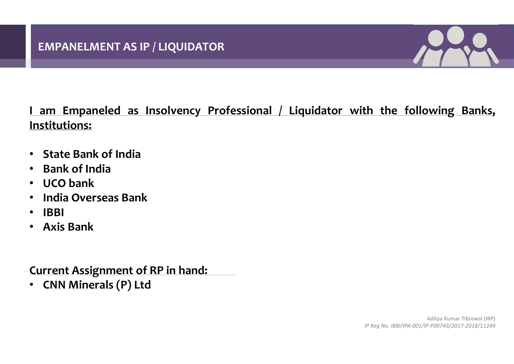

EMPANELMENT AS IP / LIQUIDATOR<br>
I am Empaneled as Insolvency Professional / Liquidator with the following Banks,<br>
Institutions:<br>
• State Bank of India Institutions: EMPANELMENT AS IP / LIQUIDATOR<br>
1 am Empaneled as Insolvency Professional / Liqui<br>
Institutions:<br>• State Bank of India<br>• Bank of India<br>• UCO bank<br>• India Overseas Bank EMPANELMENT AS IP / LIQUIDATOR<br>
1 am Empaneled as Insolvency Professional /<br>
Institutions:<br>
• State Bank of India<br>
• Bank of India<br>
• UCO bank<br>
• India Overseas Bank<br>
• IBBI EMPANELMENT AS IP / LIQUIDATOR<br>
1 am Empaneled as Insolvency Professiona<br>
Institutions:<br>
• State Bank of India<br>
• Bank of India<br>
• UCO bank<br>
• India Overseas Bank<br>
• IBBI<br>
• Axis Bank EMPANELMENT AS IP / LIQUIDATOR<br>
1 am Empaneled as Insolvency Professional / Liquid<br>
Institutions:<br>
• State Bank of India<br>
• Bank of India<br>
• UCO bank<br>
• India Overseas Bank<br>
• IBBI<br>
• Axis Bank **1 am Empaneled as Insolvency Professiona**<br> **1 state Bank of India<br>
• State Bank of India<br>
• Bank of India<br>
• India Overseas Bank<br>
• IBBI<br>
• Axis Bank<br>
• Current Assignment of RP in hand:** Institutions:<br>• State Bank of India<br>• Bank of India<br>• UCO bank<br>• India Overseas Bank<br>• Ris Bank<br>• Axis Bank<br>• CNN Minerals (P) Ltd

- 
- 
- 
- 
- IBBI
- 

• State Bank of India<br>• Bank of India<br>• UCO bank<br>• India Overseas Bank<br>• IBBI<br>• Axis Bank<br>• CNN Minerals (P) Ltd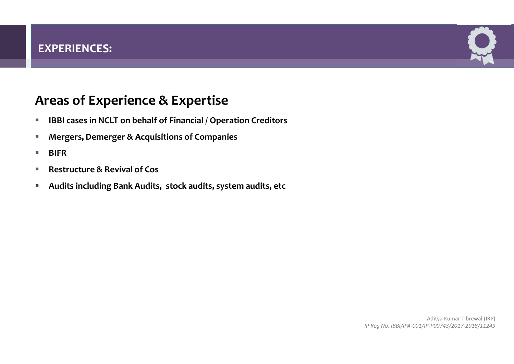

# EXPERIENCES:<br>Areas of Experience & Expertise<br>• IBBI cases in NCLT on behalf of Financial / Operation Creditors<br>• Mergers, Demerger & Acquisitions of Companies

- **IBBI cases in NCLT on behalf of Financial / Operation Creditors**
- **EXPLORERGIST Mergers, Demerger & Acquisitions of Companies**
- **BIFR**
- Restructure & Revival of Cos
- Audits including Bank Audits, stock audits, system audits, etc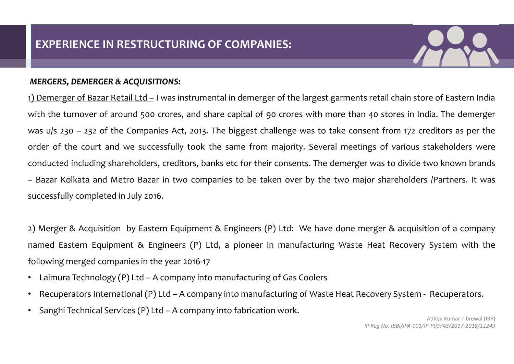

EXPERIENCE IN RESTRUCTURING OF COMPANIES:<br>
MERGERS, DEMERGER & ACQUISITIONS:<br>
(b) Demerger of Bazar Retail Ltd – I was instrumental in demerger of the larges<br>
(with the turnover of around 500 crores, and share capital of 9 EXPERIENCE IN RESTRUCTURING OF COMPANIES:<br>
THERGERS, DEMERGER & ACQUISITIONS:<br>
(1) Demerger of Bazar Retail Ltd – I was instrumental in demerger of the largest garments retail chain store of Eastern India<br>
with the turnove EXPERIENCE IN RESTRUCTURING OF COMPANIES:<br>
MERGERS, DEMERGER & ACQUISITIONS:<br>
(1) Demerger of Bazar Retail Ltd – I was instrumental in demerger of the largest garments retail chain store of Eastern India<br>
with the turnover EXPERIENCE IN RESTRUCTURING OF COMPANIES:<br>
WERGERS, DEMERGER & ACQUISITIONS:<br>
1) Demerger of Bazar Retail Ltd = I was instrumental in demerger of the largest garments retail chain store of Eastern India<br>
with the turnover **EXPERIENCE IN RESTRUCTURING OF COMPANIES:**<br>
Summerger of Bazar Retail Ltd – I was instrumental in demerger of the largest garments retail chain store of Eastern India<br>
with the turnover of around 500 crores, and share cap **EXPERIENCE IN RESTRUCTURING OF COMPANIES:**<br>
2009 MERGERS, DEMERGER & ACQUISITIONS:<br>
21) Demerger of Bazar Retail Ltd – I was instrumental in demerger of the largest gamments retail chain store of Eastern India<br>
21) Demerg EXPERIENCE IN RESTRUCTURING OF COMPANIES:<br>
SUPERFERIES, DEMERGER & ACQUISITIONS:<br>
1) Demerger of Bazar Retail Ltd = I was instrumental in demerger of the largest garments retail chain store of Eastern India<br>
with the turn **EXPERIENCE IN RESTRUCTURING OF COMPANIES:**<br>
MERGERS, DEMERGER & ACQUISITIONS:<br>
1) Demerger of Bazar Retail Ltd – I was instrumental in demerger of the largest gar<br>
with the turnover of around 500 crores, and share capita **MERGERS, DEMERGER & ACQUISITIONS:**<br>
1) Demerger of Bazar Retail Ltd – I was instrumental in demerger of the largest garments retail chain store of Eastern India<br>
with the turnover of around 500 crores, and share capital 1) Demerger of Bazar Retail Ltd – I was instrumental in demerger of the largest garments retail chain store of Eastern India<br>
with the turnover of around 500 crores, and share capital of 90 crores with more than 40 stores with the turnover of around 500 crores, and share capital of 90 crores with more than 40 s<br>was u/s 230 – 232 of the Companies Act, 2013. The biggest challenge was to take consent<br>order of the court and we successfully took was u/s 230 – 232 of the Companies Act, 2013. The biggest challenge was to take consent from 172 creditors as per the<br>order of the court and we successfully took the same from majority. Several meetings of various stakeho erver of the court and we successfully took the same from majority. Several meetings of various stakeholders were<br>conducted including shareholders, creditors, banks etc for their consents. The demerger was to divide two kn

Partners. It was<br>
ion of a company<br>
System with the<br>
Recuperators.<br>
Aditya Kumar Tibrewal (IRP)<br>
P-P00743/2017-2018/11249 Ip Shareholders /Partners. It was<br>
Interger & acquisition of a company<br>
Heat Recovery System with the<br>
Ecovery System - Recuperators.<br>
Aditya Kumar Tibrewal (IRP)<br>
IP Reg No. IBBI/IPA-001/IP-P00743/2017-2018/11249

- 
- 
-